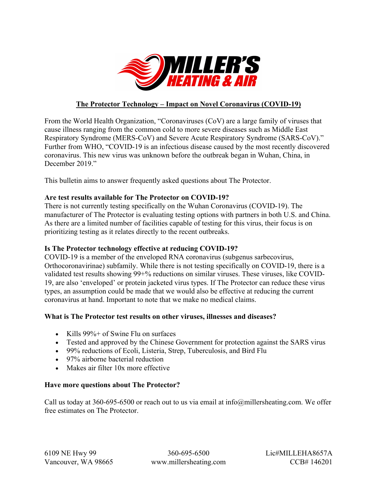

# **The Protector Technology – Impact on Novel Coronavirus (COVID-19)**

From the World Health Organization, "Coronaviruses (CoV) are a large family of viruses that cause illness ranging from the common cold to more severe diseases such as Middle East Respiratory Syndrome (MERS-CoV) and Severe Acute Respiratory Syndrome (SARS-CoV)." Further from WHO, "COVID-19 is an infectious disease caused by the most recently discovered coronavirus. This new virus was unknown before the outbreak began in Wuhan, China, in December 2019."

This bulletin aims to answer frequently asked questions about The Protector.

## **Are test results available for The Protector on COVID-19?**

There is not currently testing specifically on the Wuhan Coronavirus (COVID-19). The manufacturer of The Protector is evaluating testing options with partners in both U.S. and China. As there are a limited number of facilities capable of testing for this virus, their focus is on prioritizing testing as it relates directly to the recent outbreaks.

## **Is The Protector technology effective at reducing COVID-19?**

COVID-19 is a member of the enveloped RNA coronavirus (subgenus sarbecovirus, Orthocoronavirinae) subfamily. While there is not testing specifically on COVID-19, there is a validated test results showing 99+% reductions on similar viruses. These viruses, like COVID-19, are also 'enveloped' or protein jacketed virus types. If The Protector can reduce these virus types, an assumption could be made that we would also be effective at reducing the current coronavirus at hand. Important to note that we make no medical claims.

## **What is The Protector test results on other viruses, illnesses and diseases?**

- Kills 99%+ of Swine Flu on surfaces
- Tested and approved by the Chinese Government for protection against the SARS virus
- 99% reductions of Ecoli, Listeria, Strep, Tuberculosis, and Bird Flu
- 97% airborne bacterial reduction
- Makes air filter 10x more effective

### **Have more questions about The Protector?**

Call us today at 360-695-6500 or reach out to us via email at info@millersheating.com. We offer free estimates on The Protector.